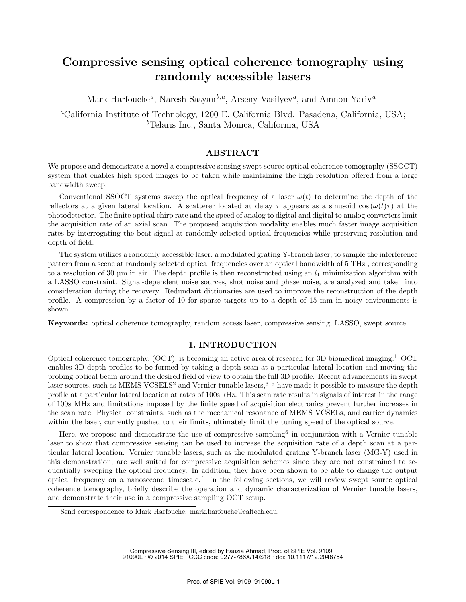# Compressive sensing optical coherence tomography using randomly accessible lasers

Mark Harfouche<sup>*a*</sup>, Naresh Satyan<sup>b,a</sup>, Arseny Vasilyev<sup>*a*</sup>, and Amnon Yariv<sup>a</sup>

<sup>a</sup>California Institute of Technology, 1200 E. California Blvd. Pasadena, California, USA; <sup>b</sup>Telaris Inc., Santa Monica, California, USA

#### ABSTRACT

We propose and demonstrate a novel a compressive sensing swept source optical coherence tomography (SSOCT) system that enables high speed images to be taken while maintaining the high resolution offered from a large bandwidth sweep.

Conventional SSOCT systems sweep the optical frequency of a laser  $\omega(t)$  to determine the depth of the reflectors at a given lateral location. A scatterer located at delay  $\tau$  appears as a sinusoid cos  $(\omega(t)\tau)$  at the photodetector. The finite optical chirp rate and the speed of analog to digital and digital to analog converters limit the acquisition rate of an axial scan. The proposed acquisition modality enables much faster image acquisition rates by interrogating the beat signal at randomly selected optical frequencies while preserving resolution and depth of field.

The system utilizes a randomly accessible laser, a modulated grating Y-branch laser, to sample the interference pattern from a scene at randomly selected optical frequencies over an optical bandwidth of 5 THz , corresponding to a resolution of 30  $\mu$ m in air. The depth profile is then reconstructed using an  $l_1$  minimization algorithm with a LASSO constraint. Signal-dependent noise sources, shot noise and phase noise, are analyzed and taken into consideration during the recovery. Redundant dictionaries are used to improve the reconstruction of the depth profile. A compression by a factor of 10 for sparse targets up to a depth of 15 mm in noisy environments is shown.

Keywords: optical coherence tomography, random access laser, compressive sensing, LASSO, swept source

## 1. INTRODUCTION

Optical coherence tomography, (OCT), is becoming an active area of research for 3D biomedical imaging.<sup>1</sup> OCT enables 3D depth profiles to be formed by taking a depth scan at a particular lateral location and moving the probing optical beam around the desired field of view to obtain the full 3D profile. Recent advancements in swept laser sources, such as MEMS VCSELS<sup>2</sup> and Vernier tunable lasers,  $3-5$  have made it possible to measure the depth profile at a particular lateral location at rates of 100s kHz. This scan rate results in signals of interest in the range of 100s MHz and limitations imposed by the finite speed of acquisition electronics prevent further increases in the scan rate. Physical constraints, such as the mechanical resonance of MEMS VCSELs, and carrier dynamics within the laser, currently pushed to their limits, ultimately limit the tuning speed of the optical source.

Here, we propose and demonstrate the use of compressive sampling<sup>6</sup> in conjunction with a Vernier tunable laser to show that compressive sensing can be used to increase the acquisition rate of a depth scan at a particular lateral location. Vernier tunable lasers, such as the modulated grating Y-branch laser (MG-Y) used in this demonstration, are well suited for compressive acquisition schemes since they are not constrained to sequentially sweeping the optical frequency. In addition, they have been shown to be able to change the output optical frequency on a nanosecond timescale.<sup>7</sup> In the following sections, we will review swept source optical coherence tomography, briefly describe the operation and dynamic characterization of Vernier tunable lasers, and demonstrate their use in a compressive sampling OCT setup.

Compressive Sensing III, edited by Fauzia Ahmad, Proc. of SPIE Vol. 9109, 91090L · © 2014 SPIE · CCC code: 0277-786X/14/\$18 · doi: 10.1117/12.2048754

Send correspondence to Mark Harfouche: mark.harfouche@caltech.edu.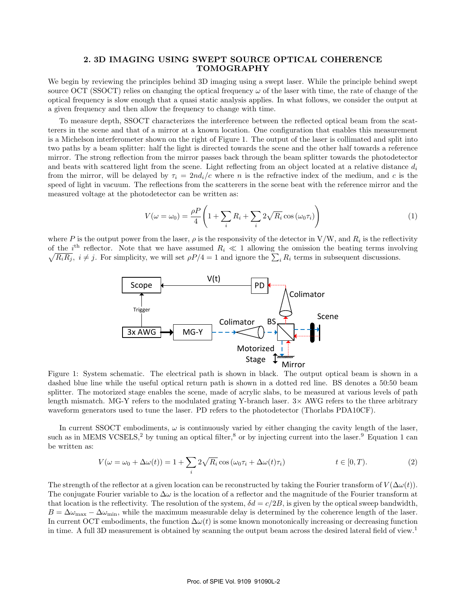## 2. 3D IMAGING USING SWEPT SOURCE OPTICAL COHERENCE TOMOGRAPHY

We begin by reviewing the principles behind 3D imaging using a swept laser. While the principle behind swept source OCT (SSOCT) relies on changing the optical frequency  $\omega$  of the laser with time, the rate of change of the optical frequency is slow enough that a quasi static analysis applies. In what follows, we consider the output at a given frequency and then allow the frequency to change with time.

To measure depth, SSOCT characterizes the interference between the reflected optical beam from the scatterers in the scene and that of a mirror at a known location. One configuration that enables this measurement is a Michelson interferometer shown on the right of Figure 1. The output of the laser is collimated and split into two paths by a beam splitter: half the light is directed towards the scene and the other half towards a reference mirror. The strong reflection from the mirror passes back through the beam splitter towards the photodetector and beats with scattered light from the scene. Light reflecting from an object located at a relative distance  $d_i$ from the mirror, will be delayed by  $\tau_i = 2nd_i/c$  where n is the refractive index of the medium, and c is the speed of light in vacuum. The reflections from the scatterers in the scene beat with the reference mirror and the measured voltage at the photodetector can be written as:

$$
V(\omega = \omega_0) = \frac{\rho P}{4} \left( 1 + \sum_i R_i + \sum_i 2\sqrt{R_i} \cos(\omega_0 \tau_i) \right)
$$
(1)

where P is the output power from the laser,  $\rho$  is the responsivity of the detector in V/W, and  $R_i$  is the reflectivity of the i<sup>th</sup> reflector. Note that we have assumed  $R_i \ll 1$  allowing the omission the beating terms involving  $\sqrt{R_iR_j}$ ,  $i \neq j$ . For simplicity, we will set  $\rho P/4 = 1$  and ignore the  $\sum_i R_i$  terms in subsequent discussions.



Figure 1: System schematic. The electrical path is shown in black. The output optical beam is shown in a dashed blue line while the useful optical return path is shown in a dotted red line. BS denotes a 50:50 beam splitter. The motorized stage enables the scene, made of acrylic slabs, to be measured at various levels of path length mismatch. MG-Y refers to the modulated grating Y-branch laser.  $3 \times$  AWG refers to the three arbitrary waveform generators used to tune the laser. PD refers to the photodetector (Thorlabs PDA10CF).

In current SSOCT embodiments,  $\omega$  is continuously varied by either changing the cavity length of the laser, such as in MEMS VCSELS,<sup>2</sup> by tuning an optical filter,<sup>8</sup> or by injecting current into the laser.<sup>9</sup> Equation 1 can be written as:

$$
V(\omega = \omega_0 + \Delta\omega(t)) = 1 + \sum_{i} 2\sqrt{R_i} \cos(\omega_0 \tau_i + \Delta\omega(t)\tau_i)
$$
  $t \in [0, T).$  (2)

The strength of the reflector at a given location can be reconstructed by taking the Fourier transform of  $V(\Delta\omega(t))$ . The conjugate Fourier variable to  $\Delta\omega$  is the location of a reflector and the magnitude of the Fourier transform at that location is the reflectivity. The resolution of the system,  $\delta d = c/2B$ , is given by the optical sweep bandwidth,  $B = \Delta\omega_{\text{max}} - \Delta\omega_{\text{min}}$ , while the maximum measurable delay is determined by the coherence length of the laser. In current OCT embodiments, the function  $\Delta\omega(t)$  is some known monotonically increasing or decreasing function in time. A full 3D measurement is obtained by scanning the output beam across the desired lateral field of view.<sup>1</sup>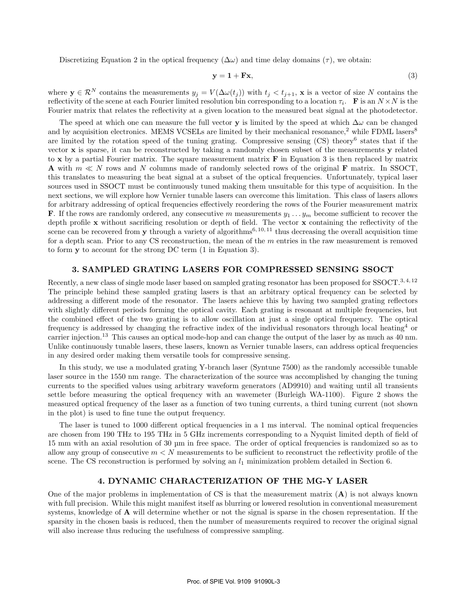Discretizing Equation 2 in the optical frequency  $(\Delta \omega)$  and time delay domains  $(\tau)$ , we obtain:

$$
y = 1 + Fx,\tag{3}
$$

where  $\mathbf{y} \in \mathcal{R}^N$  contains the measurements  $y_j = V(\Delta \omega(t_j))$  with  $t_j < t_{j+1}$ , x is a vector of size N contains the reflectivity of the scene at each Fourier limited resolution bin corresponding to a location  $\tau_i$ . **F** is an  $N \times N$  is the Fourier matrix that relates the reflectivity at a given location to the measured beat signal at the photodetector.

The speed at which one can measure the full vector y is limited by the speed at which  $\Delta\omega$  can be changed and by acquisition electronics. MEMS VCSELs are limited by their mechanical resonance,<sup>2</sup> while FDML lasers<sup>8</sup> are limited by the rotation speed of the tuning grating. Compressive sensing (CS) theory<sup>6</sup> states that if the vector x is sparse, it can be reconstructed by taking a randomly chosen subset of the measurements y related to x by a partial Fourier matrix. The square measurement matrix  $\bf{F}$  in Equation 3 is then replaced by matrix **A** with  $m \ll N$  rows and N columns made of randomly selected rows of the original **F** matrix. In SSOCT, this translates to measuring the beat signal at a subset of the optical frequencies. Unfortunately, typical laser sources used in SSOCT must be continuously tuned making them unsuitable for this type of acquisition. In the next sections, we will explore how Vernier tunable lasers can overcome this limitation. This class of lasers allows for arbitrary addressing of optical frequencies effectively reordering the rows of the Fourier measurement matrix **F**. If the rows are randomly ordered, any consecutive m measurements  $y_1 \ldots y_m$  become sufficient to recover the depth profile  $x$  without sacrificing resolution or depth of field. The vector  $x$  containing the reflectivity of the scene can be recovered from y through a variety of algorithms<sup>6, 10, 11</sup> thus decreasing the overall acquisition time for a depth scan. Prior to any CS reconstruction, the mean of the  $m$  entries in the raw measurement is removed to form y to account for the strong DC term (1 in Equation 3).

#### 3. SAMPLED GRATING LASERS FOR COMPRESSED SENSING SSOCT

Recently, a new class of single mode laser based on sampled grating resonator has been proposed for SSOCT.<sup>3,4,12</sup> The principle behind these sampled grating lasers is that an arbitrary optical frequency can be selected by addressing a different mode of the resonator. The lasers achieve this by having two sampled grating reflectors with slightly different periods forming the optical cavity. Each grating is resonant at multiple frequencies, but the combined effect of the two grating is to allow oscillation at just a single optical frequency. The optical frequency is addressed by changing the refractive index of the individual resonators through local heating<sup>4</sup> or carrier injection.<sup>13</sup> This causes an optical mode-hop and can change the output of the laser by as much as 40 nm. Unlike continuously tunable lasers, these lasers, known as Vernier tunable lasers, can address optical frequencies in any desired order making them versatile tools for compressive sensing.

In this study, we use a modulated grating Y-branch laser (Syntune 7500) as the randomly accessible tunable laser source in the 1550 nm range. The characterization of the source was accomplished by changing the tuning currents to the specified values using arbitrary waveform generators (AD9910) and waiting until all transients settle before measuring the optical frequency with an wavemeter (Burleigh WA-1100). Figure 2 shows the measured optical frequency of the laser as a function of two tuning currents, a third tuning current (not shown in the plot) is used to fine tune the output frequency.

The laser is tuned to 1000 different optical frequencies in a 1 ms interval. The nominal optical frequencies are chosen from 190 THz to 195 THz in 5 GHz increments corresponding to a Nyquist limited depth of field of 15 mm with an axial resolution of 30 µm in free space. The order of optical frequencies is randomized so as to allow any group of consecutive  $m < N$  measurements to be sufficient to reconstruct the reflectivity profile of the scene. The CS reconstruction is performed by solving an  $l_1$  minimization problem detailed in Section 6.

#### 4. DYNAMIC CHARACTERIZATION OF THE MG-Y LASER

One of the major problems in implementation of CS is that the measurement matrix  $(A)$  is not always known with full precision. While this might manifest itself as blurring or lowered resolution in conventional measurement systems, knowledge of  $\bf{A}$  will determine whether or not the signal is sparse in the chosen representation. If the sparsity in the chosen basis is reduced, then the number of measurements required to recover the original signal will also increase thus reducing the usefulness of compressive sampling.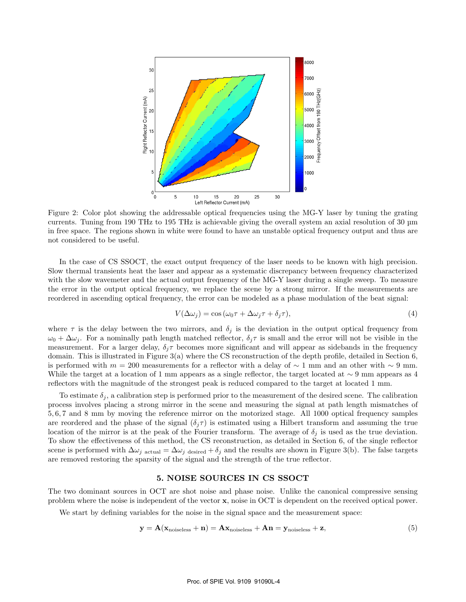

Figure 2: Color plot showing the addressable optical frequencies using the MG-Y laser by tuning the grating currents. Tuning from 190 THz to 195 THz is achievable giving the overall system an axial resolution of 30 µm in free space. The regions shown in white were found to have an unstable optical frequency output and thus are not considered to be useful.

In the case of CS SSOCT, the exact output frequency of the laser needs to be known with high precision. Slow thermal transients heat the laser and appear as a systematic discrepancy between frequency characterized with the slow wavemeter and the actual output frequency of the MG-Y laser during a single sweep. To measure the error in the output optical frequency, we replace the scene by a strong mirror. If the measurements are reordered in ascending optical frequency, the error can be modeled as a phase modulation of the beat signal:

$$
V(\Delta \omega_j) = \cos(\omega_0 \tau + \Delta \omega_j \tau + \delta_j \tau), \tag{4}
$$

where  $\tau$  is the delay between the two mirrors, and  $\delta_j$  is the deviation in the output optical frequency from  $\omega_0 + \Delta \omega_i$ . For a nominally path length matched reflector,  $\delta_i \tau$  is small and the error will not be visible in the measurement. For a larger delay,  $\delta_i \tau$  becomes more significant and will appear as sidebands in the frequency domain. This is illustrated in Figure 3(a) where the CS reconstruction of the depth profile, detailed in Section 6, is performed with  $m = 200$  measurements for a reflector with a delay of ~ 1 mm and an other with ~ 9 mm. While the target at a location of 1 mm appears as a single reflector, the target located at ∼ 9 mm appears as 4 reflectors with the magnitude of the strongest peak is reduced compared to the target at located 1 mm.

To estimate  $\delta_j$ , a calibration step is performed prior to the measurement of the desired scene. The calibration process involves placing a strong mirror in the scene and measuring the signal at path length mismatches of 5, 6, 7 and 8 mm by moving the reference mirror on the motorized stage. All 1000 optical frequency samples are reordered and the phase of the signal  $(\delta_i \tau)$  is estimated using a Hilbert transform and assuming the true location of the mirror is at the peak of the Fourier transform. The average of  $\delta_j$  is used as the true deviation. To show the effectiveness of this method, the CS reconstruction, as detailed in Section 6, of the single reflector scene is performed with  $\Delta\omega_j$  actual =  $\Delta\omega_j$  desired +  $\delta_j$  and the results are shown in Figure 3(b). The false targets are removed restoring the sparsity of the signal and the strength of the true reflector.

## 5. NOISE SOURCES IN CS SSOCT

The two dominant sources in OCT are shot noise and phase noise. Unlike the canonical compressive sensing problem where the noise is independent of the vector x, noise in OCT is dependent on the received optical power.

We start by defining variables for the noise in the signal space and the measurement space:

$$
y = A(x_{\text{noiseless}} + n) = Ax_{\text{noiseless}} + An = y_{\text{noiseless}} + z,
$$
\n(5)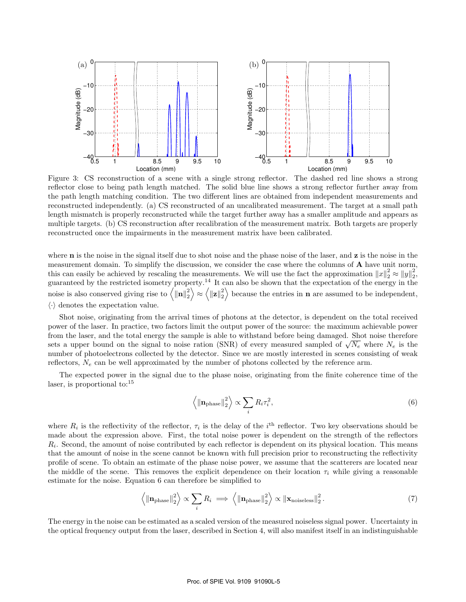

Figure 3: CS reconstruction of a scene with a single strong reflector. The dashed red line shows a strong reflector close to being path length matched. The solid blue line shows a strong reflector further away from the path length matching condition. The two different lines are obtained from independent measurements and reconstructed independently. (a) CS reconstructed of an uncalibrated measurement. The target at a small path length mismatch is properly reconstructed while the target further away has a smaller amplitude and appears as multiple targets. (b) CS reconstruction after recalibration of the measurement matrix. Both targets are properly reconstructed once the impairments in the measurement matrix have been calibrated.

where  **is the noise in the signal itself due to shot noise and the phase noise of the laser, and**  $**z**$  **is the noise in the** measurement domain. To simplify the discussion, we consider the case where the columns of  $\bf{A}$  have unit norm, this can easily be achieved by rescaling the measurements. We will use the fact the approximation  $||x||_2^2 \approx ||y||_2^2$ , guaranteed by the restricted isometry property.<sup>14</sup> It can also be shown that the expectation of the energy in the noise is also conserved giving rise to  $\langle \|\mathbf{n}\|_2^2 \rangle \approx \langle \|\mathbf{z}\|_2^2 \rangle$  because the entries in **n** are assumed to be independent,  $\langle \cdot \rangle$  denotes the expectation value.

Shot noise, originating from the arrival times of photons at the detector, is dependent on the total received power of the laser. In practice, two factors limit the output power of the source: the maximum achievable power from the laser, and the total energy the sample is able to withstand before being damaged. Shot noise therefore from the laser, and the total energy the sample is able to withstand before being damaged. Shot holse therefore<br>sets a upper bound on the signal to noise ration (SNR) of every measured sampled of  $\sqrt{N_e}$  where  $N_e$  is th number of photoelectrons collected by the detector. Since we are mostly interested in scenes consisting of weak reflectors,  $N_e$  can be well approximated by the number of photons collected by the reference arm.

The expected power in the signal due to the phase noise, originating from the finite coherence time of the laser, is proportional to: $15$ 

$$
\left\langle \|\mathbf{n}_{\text{phase}}\|_{2}^{2} \right\rangle \propto \sum_{i} R_{i} \tau_{i}^{2},\tag{6}
$$

where  $R_i$  is the reflectivity of the reflector,  $\tau_i$  is the delay of the i<sup>th</sup> reflector. Two key observations should be made about the expression above. First, the total noise power is dependent on the strength of the reflectors  $R_i$ . Second, the amount of noise contributed by each reflector is dependent on its physical location. This means that the amount of noise in the scene cannot be known with full precision prior to reconstructing the reflectivity profile of scene. To obtain an estimate of the phase noise power, we assume that the scatterers are located near the middle of the scene. This removes the explicit dependence on their location  $\tau_i$  while giving a reasonable estimate for the noise. Equation 6 can therefore be simplified to

$$
\left\langle \|\mathbf{n}_{\text{phase}}\|_{2}^{2} \right\rangle \propto \sum_{i} R_{i} \implies \left\langle \|\mathbf{n}_{\text{phase}}\|_{2}^{2} \right\rangle \propto \|\mathbf{x}_{\text{noiseless}}\|_{2}^{2}. \tag{7}
$$

The energy in the noise can be estimated as a scaled version of the measured noiseless signal power. Uncertainty in the optical frequency output from the laser, described in Section 4, will also manifest itself in an indistinguishable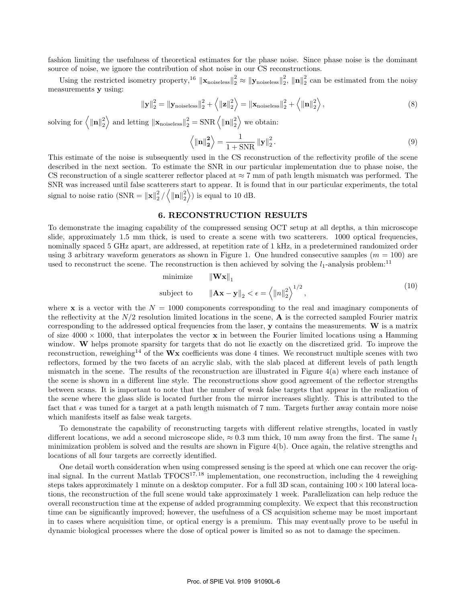fashion limiting the usefulness of theoretical estimates for the phase noise. Since phase noise is the dominant source of noise, we ignore the contribution of shot noise in our CS reconstructions.

Using the restricted isometry property,<sup>16</sup>  $\|\mathbf{x}_{\text{noiseless}}\|_2^2 \approx \|\mathbf{y}_{\text{noiseless}}\|_2^2$ ,  $\|\mathbf{n}\|_2^2$  can be estimated from the noisy measurements y using:

$$
\|\mathbf{y}\|_{2}^{2} = \|\mathbf{y}_{\text{noiseless}}\|_{2}^{2} + \left\langle \|\mathbf{z}\|_{2}^{2} \right\rangle = \|\mathbf{x}_{\text{noiseless}}\|_{2}^{2} + \left\langle \|\mathbf{n}\|_{2}^{2} \right\rangle,\tag{8}
$$

solving for  $\langle ||\mathbf{n}||_2^2 \rangle$  and letting  $\|\mathbf{x}_{\text{noiseless}}\|_2^2 = \text{SNR} \langle ||\mathbf{n}||_2^2 \rangle$  we obtain:

$$
\left\langle \|\mathbf{n}\|_{2}^{2}\right\rangle =\frac{1}{1+\text{SNR}}\left\|\mathbf{y}\right\|_{2}^{2}.\tag{9}
$$

This estimate of the noise is subsequently used in the CS reconstruction of the reflectivity profile of the scene described in the next section. To estimate the SNR in our particular implementation due to phase noise, the CS reconstruction of a single scatterer reflector placed at  $\approx 7$  mm of path length mismatch was performed. The SNR was increased until false scatterers start to appear. It is found that in our particular experiments, the total signal to noise ratio  $(SNR = ||\mathbf{x}||_2^2 / \langle ||\mathbf{n}||_2^2 \rangle)$  is equal to 10 dB.

### 6. RECONSTRUCTION RESULTS

To demonstrate the imaging capability of the compressed sensing OCT setup at all depths, a thin microscope slide, approximately 1.5 mm thick, is used to create a scene with two scatterers. 1000 optical frequencies, nominally spaced 5 GHz apart, are addressed, at repetition rate of 1 kHz, in a predetermined randomized order using 3 arbitrary waveform generators as shown in Figure 1. One hundred consecutive samples  $(m = 100)$  are used to reconstruct the scene. The reconstruction is then achieved by solving the  $l_1$ -analysis problem:<sup>11</sup>

minimize 
$$
\|\mathbf{W}\mathbf{x}\|_1
$$
  
subject to  $\|\mathbf{A}\mathbf{x} - \mathbf{y}\|_2 < \epsilon = \langle \|n\|_2^2 \rangle^{1/2}$ , (10)

where **x** is a vector with the  $N = 1000$  components corresponding to the real and imaginary components of the reflectivity at the  $N/2$  resolution limited locations in the scene,  $\bf{A}$  is the corrected sampled Fourier matrix corresponding to the addressed optical frequencies from the laser,  $\bf{y}$  contains the measurements.  $\bf{W}$  is a matrix of size  $4000 \times 1000$ , that interpolates the vector **x** in between the Fourier limited locations using a Hamming window. W helps promote sparsity for targets that do not lie exactly on the discretized grid. To improve the reconstruction, reweighing<sup>14</sup> of the  $Wx$  coefficients was done 4 times. We reconstruct multiple scenes with two reflectors, formed by the two facets of an acrylic slab, with the slab placed at different levels of path length mismatch in the scene. The results of the reconstruction are illustrated in Figure 4(a) where each instance of the scene is shown in a different line style. The reconstructions show good agreement of the reflector strengths between scans. It is important to note that the number of weak false targets that appear in the realization of the scene where the glass slide is located further from the mirror increases slightly. This is attributed to the fact that  $\epsilon$  was tuned for a target at a path length mismatch of 7 mm. Targets further away contain more noise which manifests itself as false weak targets.

To demonstrate the capability of reconstructing targets with different relative strengths, located in vastly different locations, we add a second microscope slide,  $\approx 0.3$  mm thick, 10 mm away from the first. The same  $l_1$ minimization problem is solved and the results are shown in Figure 4(b). Once again, the relative strengths and locations of all four targets are correctly identified.

One detail worth consideration when using compressed sensing is the speed at which one can recover the original signal. In the current Matlab  $TFOCS^{17,18}$  implementation, one reconstruction, including the 4 reweighing steps takes approximately 1 minute on a desktop computer. For a full 3D scan, containing  $100 \times 100$  lateral locations, the reconstruction of the full scene would take approximately 1 week. Parallelization can help reduce the overall reconstruction time at the expense of added programming complexity. We expect that this reconstruction time can be significantly improved; however, the usefulness of a CS acquisition scheme may be most important in to cases where acquisition time, or optical energy is a premium. This may eventually prove to be useful in dynamic biological processes where the dose of optical power is limited so as not to damage the specimen.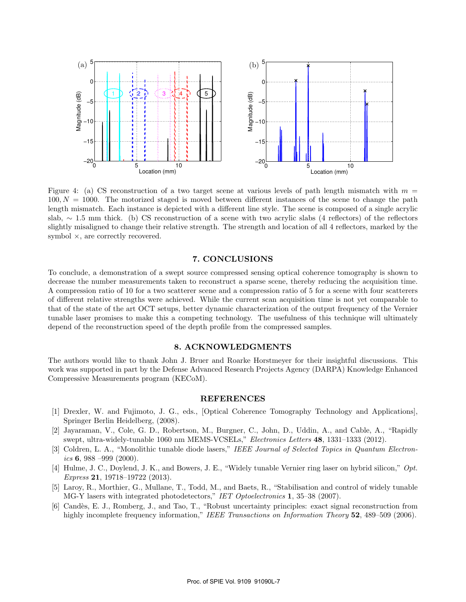

Figure 4: (a) CS reconstruction of a two target scene at various levels of path length mismatch with  $m =$  $100, N = 1000$ . The motorized staged is moved between different instances of the scene to change the path length mismatch. Each instance is depicted with a different line style. The scene is composed of a single acrylic slab, ∼ 1.5 mm thick. (b) CS reconstruction of a scene with two acrylic slabs (4 reflectors) of the reflectors slightly misaligned to change their relative strength. The strength and location of all 4 reflectors, marked by the symbol  $\times$ , are correctly recovered.

### 7. CONCLUSIONS

To conclude, a demonstration of a swept source compressed sensing optical coherence tomography is shown to decrease the number measurements taken to reconstruct a sparse scene, thereby reducing the acquisition time. A compression ratio of 10 for a two scatterer scene and a compression ratio of 5 for a scene with four scatterers of different relative strengths were achieved. While the current scan acquisition time is not yet comparable to that of the state of the art OCT setups, better dynamic characterization of the output frequency of the Vernier tunable laser promises to make this a competing technology. The usefulness of this technique will ultimately depend of the reconstruction speed of the depth profile from the compressed samples.

## 8. ACKNOWLEDGMENTS

The authors would like to thank John J. Bruer and Roarke Horstmeyer for their insightful discussions. This work was supported in part by the Defense Advanced Research Projects Agency (DARPA) Knowledge Enhanced Compressive Measurements program (KECoM).

#### REFERENCES

- [1] Drexler, W. and Fujimoto, J. G., eds., [Optical Coherence Tomography Technology and Applications], Springer Berlin Heidelberg, (2008).
- [2] Jayaraman, V., Cole, G. D., Robertson, M., Burgner, C., John, D., Uddin, A., and Cable, A., "Rapidly swept, ultra-widely-tunable 1060 nm MEMS-VCSELs," Electronics Letters 48, 1331–1333 (2012).
- [3] Coldren, L. A., "Monolithic tunable diode lasers," IEEE Journal of Selected Topics in Quantum Electronics 6, 988 –999 (2000).
- [4] Hulme, J. C., Doylend, J. K., and Bowers, J. E., "Widely tunable Vernier ring laser on hybrid silicon," Opt. Express 21, 19718–19722 (2013).
- [5] Laroy, R., Morthier, G., Mullane, T., Todd, M., and Baets, R., "Stabilisation and control of widely tunable MG-Y lasers with integrated photodetectors," IET Optoelectronics 1, 35–38 (2007).
- [6] Cand`es, E. J., Romberg, J., and Tao, T., "Robust uncertainty principles: exact signal reconstruction from highly incomplete frequency information," IEEE Transactions on Information Theory 52, 489–509 (2006).